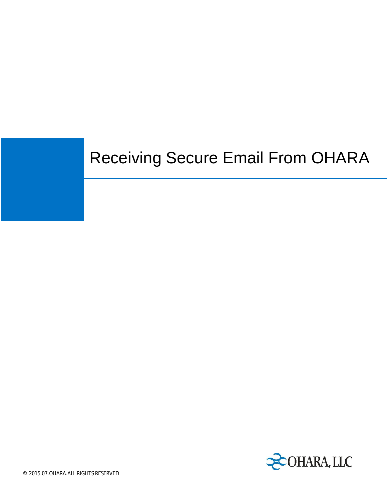## Receiving Secure Email From OHARA

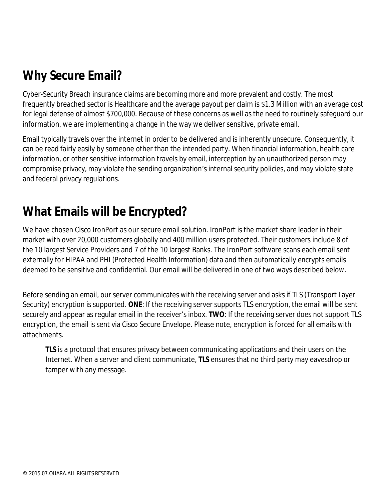## **Why Secure Email?**

Cyber-Security Breach insurance claims are becoming more and more prevalent and costly. The most frequently breached sector is Healthcare and the average payout per claim is \$1.3 Million with an average cost for legal defense of almost \$700,000. Because of these concerns as well as the need to routinely safeguard our information, we are implementing a change in the way we deliver sensitive, private email.

Email typically travels over the internet in order to be delivered and is inherently unsecure. Consequently, it can be read fairly easily by someone other than the intended party. When financial information, health care information, or other sensitive information travels by email, interception by an unauthorized person may compromise privacy, may violate the sending organization's internal security policies, and may violate state and federal privacy regulations.

## **What Emails will be Encrypted?**

We have chosen Cisco IronPort as our secure email solution. IronPort is the market share leader in their market with over 20,000 customers globally and 400 million users protected. Their customers include 8 of the 10 largest Service Providers and 7 of the 10 largest Banks. The IronPort software scans each email sent externally for HIPAA and PHI (Protected Health Information) data and then automatically encrypts emails deemed to be sensitive and confidential. Our email will be delivered in one of two ways described below.

Before sending an email, our server communicates with the receiving server and asks if TLS (Transport Layer Security) encryption is supported. **ONE**: If the receiving server supports TLS encryption, the email will be sent securely and appear as regular email in the receiver's inbox. **TWO**: If the receiving server does not support TLS encryption, the email is sent via Cisco Secure Envelope. Please note, encryption is forced for all emails with attachments.

**TLS** is a protocol that ensures privacy between communicating applications and their users on the Internet. When a server and client communicate, **TLS** ensures that no third party may eavesdrop or tamper with any message.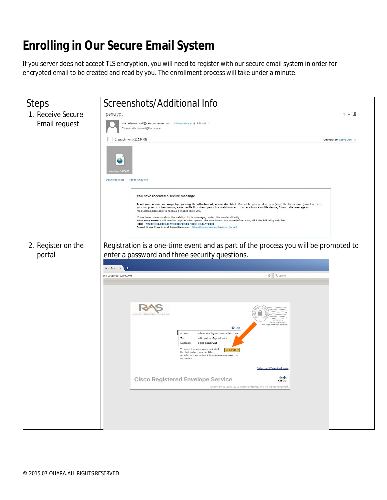## **Enrolling in Our Secure Email System**

If you server does not accept TLS encryption, you will need to register with our secure email system in order for encrypted email to be created and read by you. The enrollment process will take under a minute.

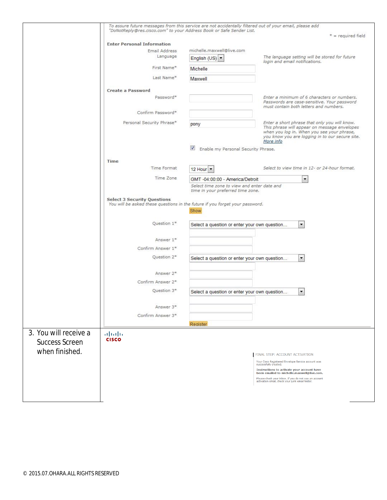|                       | To assure future messages from this service are not accidentally filtered out of your email, please add            |                                                                                  |                                                                                                            |
|-----------------------|--------------------------------------------------------------------------------------------------------------------|----------------------------------------------------------------------------------|------------------------------------------------------------------------------------------------------------|
|                       | "DoNotReply@res.cisco.com" to your Address Book or Safe Sender List.                                               |                                                                                  | $* = required field$                                                                                       |
|                       | <b>Enter Personal Information</b>                                                                                  |                                                                                  |                                                                                                            |
|                       | Email Address                                                                                                      | michelle.maxwell@live.com                                                        |                                                                                                            |
|                       | Language                                                                                                           | English (US) -                                                                   | The language setting will be stored for future<br>login and email notifications.                           |
|                       | First Name*                                                                                                        | Michelle                                                                         |                                                                                                            |
|                       | Last Name*                                                                                                         | Maxwell                                                                          |                                                                                                            |
|                       | Create a Password                                                                                                  |                                                                                  |                                                                                                            |
|                       | Password*                                                                                                          |                                                                                  | Enter a minimum of 6 characters or numbers.<br>Passwords are case-sensitive. Your password                 |
|                       | Confirm Password*                                                                                                  |                                                                                  | must contain both letters and numbers.                                                                     |
|                       | Personal Security Phrase*                                                                                          | pony                                                                             | Enter a short phrase that only you will know.<br>This phrase will appear on message envelopes              |
|                       |                                                                                                                    |                                                                                  | when you log in. When you see your phrase,<br>you know you are logging in to our secure site.<br>More info |
|                       |                                                                                                                    | $\blacktriangledown$<br>Enable my Personal Security Phrase.                      |                                                                                                            |
|                       | Time                                                                                                               |                                                                                  |                                                                                                            |
|                       | Time Format                                                                                                        | 12 Hour                                                                          | Select to view time in 12- or 24-hour format.                                                              |
|                       | Time Zone                                                                                                          | GMT -04:00:00 - America/Detroit                                                  | $\blacktriangledown$                                                                                       |
|                       |                                                                                                                    | Select time zone to view and enter date and<br>time in your preferred time zone, |                                                                                                            |
|                       | <b>Select 3 Security Questions</b><br>You will be asked these questions in the future if you forget your password. | Show                                                                             |                                                                                                            |
|                       | Question 1*                                                                                                        | Select a question or enter your own question                                     | $\blacktriangledown$                                                                                       |
|                       | Answer 1*                                                                                                          |                                                                                  |                                                                                                            |
|                       | Confirm Answer 1*                                                                                                  |                                                                                  |                                                                                                            |
|                       | Question 2*                                                                                                        | Select a question or enter your own question                                     | $\overline{\phantom{a}}$                                                                                   |
|                       | Answer 2*                                                                                                          |                                                                                  |                                                                                                            |
|                       | Confirm Answer 2*                                                                                                  |                                                                                  |                                                                                                            |
|                       | Question 3*                                                                                                        | $\blacktriangledown$<br>Select a question or enter your own question             |                                                                                                            |
|                       | Answer 3*                                                                                                          |                                                                                  |                                                                                                            |
|                       | Confirm Answer 3*                                                                                                  |                                                                                  |                                                                                                            |
|                       |                                                                                                                    | Register                                                                         |                                                                                                            |
| 3. You will receive a | ahaha                                                                                                              |                                                                                  |                                                                                                            |
| <b>Success Screen</b> | <b>CISCO</b>                                                                                                       |                                                                                  |                                                                                                            |
| when finished.        |                                                                                                                    |                                                                                  |                                                                                                            |
|                       |                                                                                                                    |                                                                                  | FINAL STEP: ACCOUNT ACTIVATION                                                                             |
|                       |                                                                                                                    |                                                                                  | Your Cisco Registered Envelope Service account was<br>successfully created.                                |
|                       |                                                                                                                    |                                                                                  | Instructions to activate your account have<br>been emailed to michelle.maxwell@live.com.                   |
|                       |                                                                                                                    |                                                                                  | Please check your inbox. If you do not see an account<br>activation email, check your junk email folder.   |
|                       |                                                                                                                    |                                                                                  |                                                                                                            |
|                       |                                                                                                                    |                                                                                  |                                                                                                            |